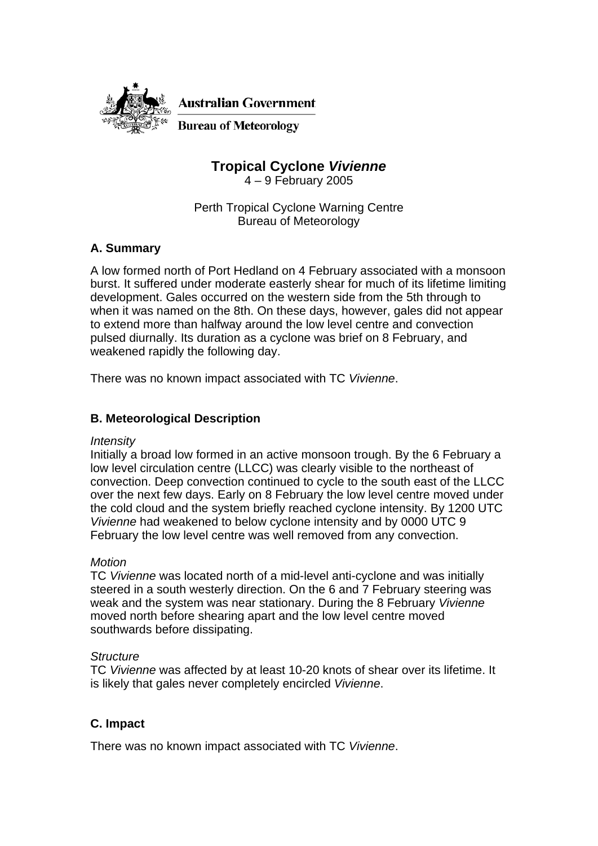

**Australian Government** 

**Bureau of Meteorology** 

**Tropical Cyclone** *Vivienne*

4 – 9 February 2005

Perth Tropical Cyclone Warning Centre Bureau of Meteorology

# **A. Summary**

A low formed north of Port Hedland on 4 February associated with a monsoon burst. It suffered under moderate easterly shear for much of its lifetime limiting development. Gales occurred on the western side from the 5th through to when it was named on the 8th. On these days, however, gales did not appear to extend more than halfway around the low level centre and convection pulsed diurnally. Its duration as a cyclone was brief on 8 February, and weakened rapidly the following day.

There was no known impact associated with TC *Vivienne*.

### **B. Meteorological Description**

#### *Intensity*

Initially a broad low formed in an active monsoon trough. By the 6 February a low level circulation centre (LLCC) was clearly visible to the northeast of convection. Deep convection continued to cycle to the south east of the LLCC over the next few days. Early on 8 February the low level centre moved under the cold cloud and the system briefly reached cyclone intensity. By 1200 UTC *Vivienne* had weakened to below cyclone intensity and by 0000 UTC 9 February the low level centre was well removed from any convection.

#### *Motion*

TC *Vivienne* was located north of a mid-level anti-cyclone and was initially steered in a south westerly direction. On the 6 and 7 February steering was weak and the system was near stationary. During the 8 February *Vivienne* moved north before shearing apart and the low level centre moved southwards before dissipating.

#### *Structure*

TC *Vivienne* was affected by at least 10-20 knots of shear over its lifetime. It is likely that gales never completely encircled *Vivienne*.

### **C. Impact**

There was no known impact associated with TC *Vivienne*.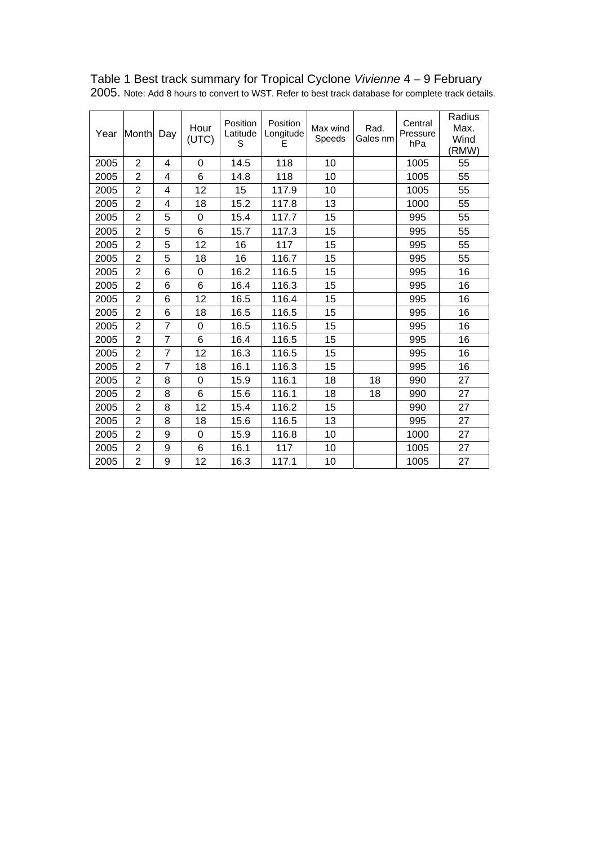| Year | Month          | Day            | Hour<br>(UTC) | Position<br>Latitude<br>S | Position<br>Longitude<br>Е | Max wind<br>Speeds | Rad.<br>Gales nm | Central<br>Pressure<br>hPa | Radius<br>Max.<br>Wind<br>(RMW) |
|------|----------------|----------------|---------------|---------------------------|----------------------------|--------------------|------------------|----------------------------|---------------------------------|
| 2005 | $\overline{2}$ | 4              | $\Omega$      | 14.5                      | 118                        | 10                 |                  | 1005                       | 55                              |
| 2005 | $\overline{2}$ | 4              | 6             | 14.8                      | 118                        | 10                 |                  | 1005                       | 55                              |
| 2005 | $\overline{2}$ | 4              | 12            | 15                        | 117.9                      | 10                 |                  | 1005                       | 55                              |
| 2005 | $\overline{2}$ | 4              | 18            | 15.2                      | 117.8                      | 13                 |                  | 1000                       | 55                              |
| 2005 | $\overline{2}$ | 5              | $\Omega$      | 15.4                      | 117.7                      | 15                 |                  | 995                        | 55                              |
| 2005 | $\overline{2}$ | 5              | 6             | 15.7                      | 117.3                      | 15                 |                  | 995                        | 55                              |
| 2005 | $\overline{2}$ | 5              | 12            | 16                        | 117                        | 15                 |                  | 995                        | 55                              |
| 2005 | $\overline{2}$ | 5              | 18            | 16                        | 116.7                      | 15                 |                  | 995                        | 55                              |
| 2005 | $\overline{2}$ | 6              | $\Omega$      | 16.2                      | 116.5                      | 15                 |                  | 995                        | 16                              |
| 2005 | $\overline{2}$ | 6              | 6             | 16.4                      | 116.3                      | 15                 |                  | 995                        | 16                              |
| 2005 | $\overline{2}$ | 6              | 12            | 16.5                      | 116.4                      | 15                 |                  | 995                        | 16                              |
| 2005 | $\overline{2}$ | 6              | 18            | 16.5                      | 116.5                      | 15                 |                  | 995                        | 16                              |
| 2005 | $\overline{2}$ | $\overline{7}$ | 0             | 16.5                      | 116.5                      | 15                 |                  | 995                        | 16                              |
| 2005 | $\overline{2}$ | $\overline{7}$ | 6             | 16.4                      | 116.5                      | 15                 |                  | 995                        | 16                              |
| 2005 | $\overline{2}$ | $\overline{7}$ | 12            | 16.3                      | 116.5                      | 15                 |                  | 995                        | 16                              |
| 2005 | $\overline{2}$ | $\overline{7}$ | 18            | 16.1                      | 116.3                      | 15                 |                  | 995                        | 16                              |
| 2005 | $\overline{2}$ | 8              | $\Omega$      | 15.9                      | 116.1                      | 18                 | 18               | 990                        | 27                              |
| 2005 | $\overline{2}$ | 8              | 6             | 15.6                      | 116.1                      | 18                 | 18               | 990                        | 27                              |
| 2005 | $\overline{2}$ | 8              | 12            | 15.4                      | 116.2                      | 15                 |                  | 990                        | 27                              |
| 2005 | $\overline{2}$ | 8              | 18            | 15.6                      | 116.5                      | 13                 |                  | 995                        | 27                              |
| 2005 | $\overline{2}$ | 9              | $\Omega$      | 15.9                      | 116.8                      | 10                 |                  | 1000                       | 27                              |
| 2005 | $\overline{2}$ | 9              | 6             | 16.1                      | 117                        | 10                 |                  | 1005                       | 27                              |
| 2005 | $\overline{2}$ | 9              | 12            | 16.3                      | 117.1                      | 10                 |                  | 1005                       | 27                              |

# Table 1 Best track summary for Tropical Cyclone *Vivienne* 4 – 9 February

2005. Note: Add 8 hours to convert to WST. Refer to best track database for complete track details.